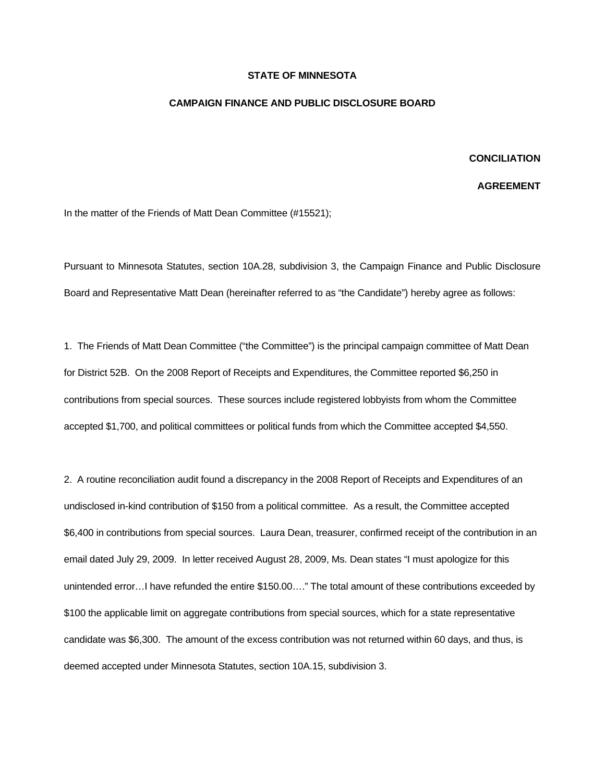## **STATE OF MINNESOTA**

## **CAMPAIGN FINANCE AND PUBLIC DISCLOSURE BOARD**

## **CONCILIATION**

## **AGREEMENT**

In the matter of the Friends of Matt Dean Committee (#15521);

Pursuant to Minnesota Statutes, section 10A.28, subdivision 3, the Campaign Finance and Public Disclosure Board and Representative Matt Dean (hereinafter referred to as "the Candidate") hereby agree as follows:

1. The Friends of Matt Dean Committee ("the Committee") is the principal campaign committee of Matt Dean for District 52B. On the 2008 Report of Receipts and Expenditures, the Committee reported \$6,250 in contributions from special sources. These sources include registered lobbyists from whom the Committee accepted \$1,700, and political committees or political funds from which the Committee accepted \$4,550.

2. A routine reconciliation audit found a discrepancy in the 2008 Report of Receipts and Expenditures of an undisclosed in-kind contribution of \$150 from a political committee. As a result, the Committee accepted \$6,400 in contributions from special sources. Laura Dean, treasurer, confirmed receipt of the contribution in an email dated July 29, 2009. In letter received August 28, 2009, Ms. Dean states "I must apologize for this unintended error…I have refunded the entire \$150.00…." The total amount of these contributions exceeded by \$100 the applicable limit on aggregate contributions from special sources, which for a state representative candidate was \$6,300. The amount of the excess contribution was not returned within 60 days, and thus, is deemed accepted under Minnesota Statutes, section 10A.15, subdivision 3.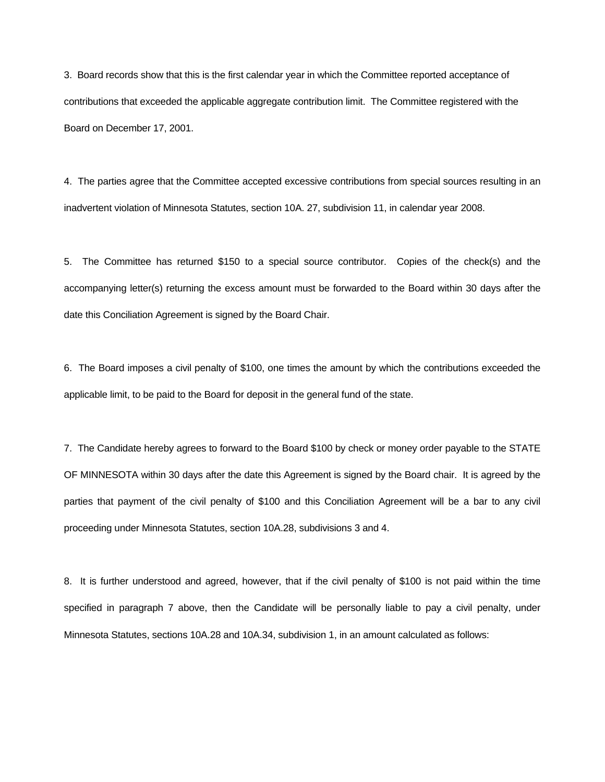3. Board records show that this is the first calendar year in which the Committee reported acceptance of contributions that exceeded the applicable aggregate contribution limit. The Committee registered with the Board on December 17, 2001.

4. The parties agree that the Committee accepted excessive contributions from special sources resulting in an inadvertent violation of Minnesota Statutes, section 10A. 27, subdivision 11, in calendar year 2008.

5. The Committee has returned \$150 to a special source contributor. Copies of the check(s) and the accompanying letter(s) returning the excess amount must be forwarded to the Board within 30 days after the date this Conciliation Agreement is signed by the Board Chair.

6. The Board imposes a civil penalty of \$100, one times the amount by which the contributions exceeded the applicable limit, to be paid to the Board for deposit in the general fund of the state.

7. The Candidate hereby agrees to forward to the Board \$100 by check or money order payable to the STATE OF MINNESOTA within 30 days after the date this Agreement is signed by the Board chair. It is agreed by the parties that payment of the civil penalty of \$100 and this Conciliation Agreement will be a bar to any civil proceeding under Minnesota Statutes, section 10A.28, subdivisions 3 and 4.

8. It is further understood and agreed, however, that if the civil penalty of \$100 is not paid within the time specified in paragraph 7 above, then the Candidate will be personally liable to pay a civil penalty, under Minnesota Statutes, sections 10A.28 and 10A.34, subdivision 1, in an amount calculated as follows: